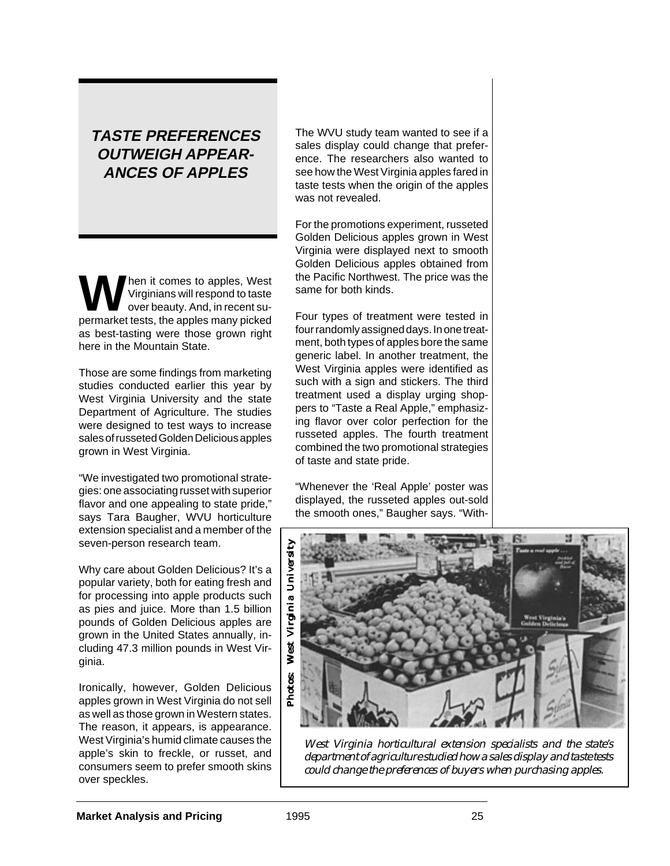## **TASTE PREFERENCES OUTWEIGH APPEAR-ANCES OF APPLES**

hen it comes to apples, West Virginians will respond to taste over beauty. And, in recent supermarket tests, the apples many picked as best-tasting were those grown right here in the Mountain State.

Those are some findings from marketing studies conducted earlier this year by West Virginia University and the state Department of Agriculture. The studies were designed to test ways to increase sales of russeted Golden Delicious apples grown in West Virginia.

"We investigated two promotional strategies: one associating russet with superior flavor and one appealing to state pride," says Tara Baugher, WVU horticulture extension specialist and a member of the seven-person research team.

Why care about Golden Delicious? It's a popular variety, both for eating fresh and for processing into apple products such as pies and juice. More than 1.5 billion pounds of Golden Delicious apples are grown in the United States annually, including 47.3 million pounds in West Virginia.

Ironically, however, Golden Delicious apples grown in West Virginia do not sell as well as those grown in Western states. The reason, it appears, is appearance. West Virginia's humid climate causes the apple's skin to freckle, or russet, and consumers seem to prefer smooth skins over speckles.

The WVU study team wanted to see if a sales display could change that preference. The researchers also wanted to see how the West Virginia apples fared in taste tests when the origin of the apples was not revealed.

For the promotions experiment, russeted Golden Delicious apples grown in West Virginia were displayed next to smooth Golden Delicious apples obtained from the Pacific Northwest. The price was the same for both kinds.

Four types of treatment were tested in four randomly assigned days. In one treatment, both types of apples bore the same generic label. In another treatment, the West Virginia apples were identified as such with a sign and stickers. The third treatment used a display urging shoppers to "Taste a Real Apple," emphasizing flavor over color perfection for the russeted apples. The fourth treatment combined the two promotional strategies of taste and state pride.

"Whenever the 'Real Apple' poster was displayed, the russeted apples out-sold the smooth ones," Baugher says. "With-



*West Virginia horticultural extension specialists and the state's department of agriculture studied how a sales display and taste tests could change the preferences of buyers when purchasing apples.*